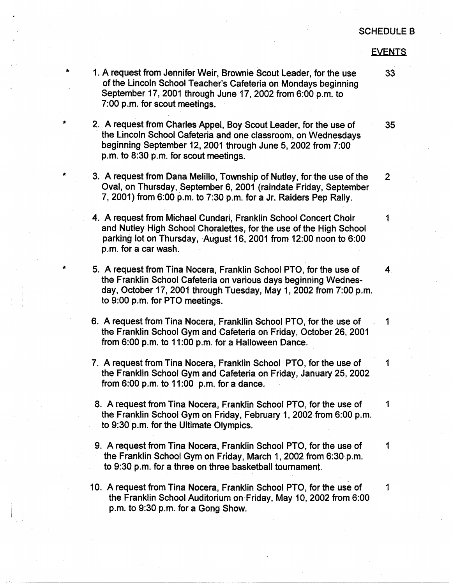#### **EVENTS**

1. A request from Jennifer Weir, Brownie Scout Leader, for the use 33 of the Lincoln School Teacher's Cafeteria on Mondays beginning September 17, 2001 through June 17, 2002 from 6:00 p.m. to 7:00 p.m. for scout meetings.

\*

\*

\*

\*

- 2. A request from Charles Appel, Boy Scout leader, for the use of 35 - the Lincoln School Cafeteria and one classroom, on Wednesdays beginning September 12\_, 2001 through June 5, 2002 from 7:00 p.m. to 8:30 p.m. for scout meetings.
- 3. A request from Dana Melillo, Township of Nutley, for the use of the 2 Oval, on Thursday, September 6, 2001 (raindate Friday, September 7, 2001) from 6:00 p.m. to 7:30 p.m. for a Jr. Raiders Pep Rally.
- **4. A** request from Michael Cundari, Franklin School Concert Choir 1 and Nutley High School Choralettes, for the use of the High School parking lot on Thursday, August 16, 2001 from 12:00 noon to 6:00 p.m. for a car wash.
- 5. A request from Tina Nocera, Franklin School PTO, for the use of 4 the Franklin School Cafeteria on various days beginning Wednesday, October 17, 2001 through Tuesday, May 1, 2002 from 7:00 p.m. to 9:00 p.m. for PTO meetings.
- 6. A request from Tina Nocera, Frankllin School PTO, for the use of 1. the Franklin School Gym and Cafeteria on Friday, October 26, 2001 from 6:00 p.m. to 11 :00 p.m. for a Halloween Dance.
- 7. A request from Tina Nocera, Franklin School PTO, for the use of 1 the Franklin School Gym and Cafeteria on Friday, January 25, 2002 from  $6:00$  p.m. to  $11:00$  p.m. for a dance.
- 8. A request from Tina Nocera, Franklin School PTO, for the use of 1 the Franklin School Gym on Friday, February 1, 2002 from 6:00 p.m. to 9:30 p.m. for the Ultimate Olympics.
- 9. A request from Tina Nocera, Franklin School PTO, for the use of 1 the Franklin School Gym on Friday, March 1, 2002 from 6:30 p.m. to 9:30 p.m. for a three on three basketball tournament.
- 10. A request from Tina Nocera, Franklin School PTO, for the use of 1 the Franklin School Auditorium on Friday, May 10, 2002 from 6:00 p.m. to 9:30 p.m. for a Gong Show.

·-------------·------------- - -------

.,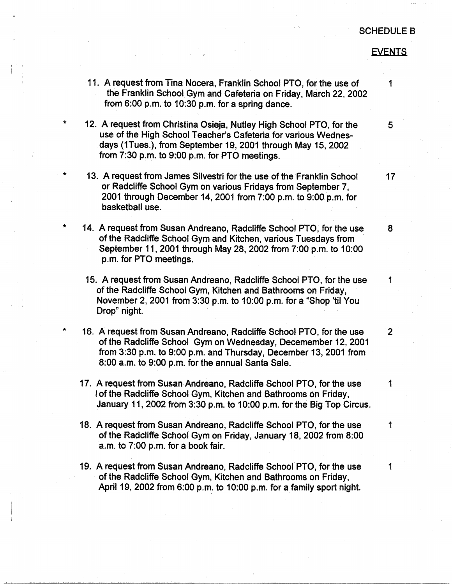#### **EVENTS**

11. A request from Tina Nocera, Franklin School PTO, for the use of 1 the Franklin School Gym and Cafeteria on Friday, March 22, 2002 from 6:00 p.m. to 10:30 p.m. for a spring dance.

I . ' I

\*

\*

\*

\*

- 12. A request from Christina Osieja, Nutley High School PTO, for the use of the High School Teacher's Cafeteria for various Wednesdays (1Tues.), from September 19, 2001 through May 15, 2002 from 7:30 p.m. to 9:00 p.m. for PTO meetings.
- 13. A request from James Silvestri for the use of the Franklin School or Radcliffe School Gym on various Fridays from September 7, 2001 through December 14, 2001 from 7:00 p.m. to 9:00 p.m. for basketball use.
- 14. A request from Susan Andreana, Radcliffe School PTO, for the use of the Radcliffe School Gym and Kitchen, various Tuesdays from · September 11, 2001 through May 28, 2002 from 7:00 p.m. to 10:00 p.m. for PTO meetings.
- 15. A request from Susan Andreano, Radcliffe School PTO, for the use 1 of the Radcliffe School Gym, Kitchen and Bathrooms on Friday, November 2, 2001 from 3:30 p.m. to 10:00 p.m. for a "Shop 'til You Drop" night.
- 16. A request from Susan Andreana, Radcliffe School PTO, for the use of the Radcliffe School Gym on Wednesday, Oecemember 12, 2001 from 3:30 p.m. to 9:00 p.m. and Thursday, December 13, 2001 from 8:00 a.m. to 9:00 p.m. for the annual Santa Sale.
- 17. A request from Susan Andreano, Radcliffe School PTO, for the use 1 I of the Radcliffe School Gym, Kitchen and Bathrooms on Friday, January 11, 2002 from 3:30 p.m. to 10:00 p.m. for the Big Top Circus.
- 18. A request from Susan Andreano, Radcliffe School PTO, for the use 1 of the Radcliffe Schoof Gym on Friday, January 18, 2002 from 8:00  $a.m.$  to  $7:00$  p.m. for a book fair.
- 19. A request from Susan Andreano, Radcliffe School PTO, for the use 1 of the Radcliffe School Gym, Kitchen and Bathrooms on Friday, April 19, 2002 from 6:00 p.m. to 10:00 p.m. for a family sport night.

5

8

17

2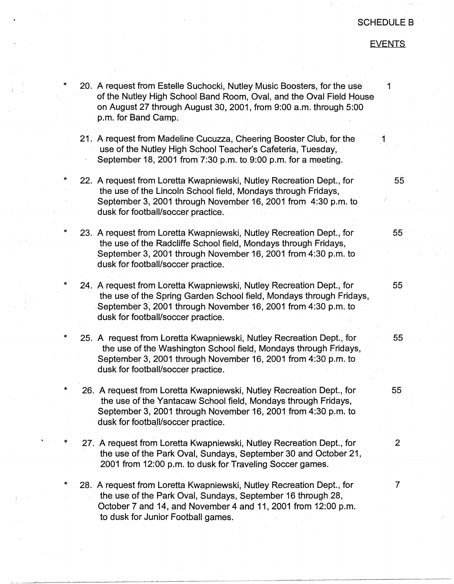## **EVENTS**

 $\mathbf{r} = \mathbf{r} \times \mathbf{r}$ \* \* \* \* \* \* \* 20. A request from Estelle Suchocki, Nutley Music Boosters, for the use 1 of the Nutley High School Band Room, Oval, and the Oval Field House on August 27 through August 30, 2001, from 9:00 a.m. through 5:00 p.m. for Band Camp. 21. A request from Madeline Cucuzza, Cheering Booster Club, for the 1 use of the Nutley High School Teacher's Cafeteria, Tuesday, September 18, 2001 from 7:30 p.m. to 9:00 p.m. for a meeting. 22. A request from Loretta Kwapniewski, Nutley Recreation Dept., for 55 the use of the Lincoln School field, Mondays through Fridays, September 3, 2001 through November 16, 2001 from 4:30 p.m. to *(*  dusk for football/soccer practice. 23. A request from Loretta Kwapniewski, Nutley Recreation Dept., for 55 the use of the Radcliffe School field, Mondays through Fridays, September 3, 2001 through November 16, 2001 from 4:30 p.m. to dusk for football/soccer practice. 24. A request from Loretta Kwapniewski, Nutley Recreation Dept., for 55 . the use of the Spring Garden School field, Mondays through Fridays, September 3, 2001 through November 16, 2001 from 4:30 p.m. to dusk for football/soccer practice. 25. A request from Loretta Kwapniewski, Nutley Recreation Dept., for 55 the use of the Washington School field, Mondays through Fridays, September 3, 2001 through November 16, 2001 from 4:30 p.m. to dusk for football/soccer practice. 26. A request from Loretta Kwapniewski, Nutley Recreation Dept., for 55 the use of the Yantacaw School field, Mondays through Fridays, September 3, 2001 through November 16, 2001 from 4:30 p.m. to dusk for football/soccer practice. 27. A request from Loretta Kwapniewski, Nutley Recreation Dept., for 2. the use of the Park Oval, Sundays, September 30 and October 21, 2001 from 12:00 p.m. to dusk for Traveling Soccer games. **28.** A request from Loretta Kwapniewski, Nutley Recreation Dept., for 7 the use of the Park Oval, Sundays, September 16 through 28, October 7 and 14, and November 4 and 11, 2001 from 12:00 p.m. to dusk for Junior Football games.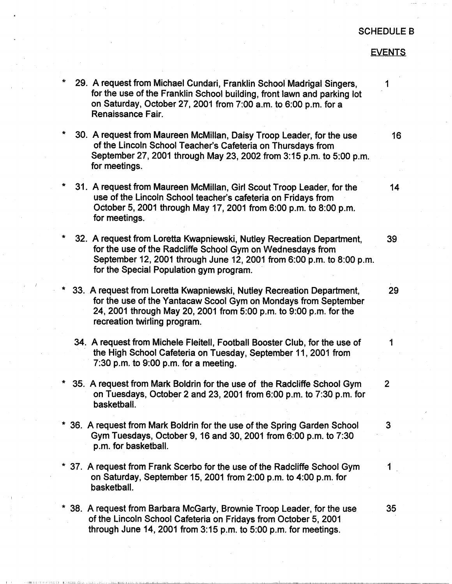## **EVENTS**

29. A request from Michael Cundari, Franklin School Madrigal Singers, 1 for the use of the Franklin School building, front lawn and parking lot on Saturday, October 27, 2001 from 7:00 a.m. to 6:00 p.m. for a Renaissance Fair. 30. A request from Maureen McMillan, Daisy Troop Leader, for the use 16 of the Lincoln School Teacher's Cafeteria on Thursdays from September 27, 2001 through May 23, 2002 from 3:15 p.m. to 5:00 p.m. for meetings. 31. A request from Maureen McMillan, Girl Scout Troop Leader, for the 14 use of the Lincoln School teacher's cafeteria on Fridays from October 5, 2001 through May 17, 2001 from 6:00 p.m. to 8:00 p.m. for meetings. 32. A request from Loretta Kwapniewski, Nutley Recreation Department, 39 for the use of the Radcliffe School Gym on Wednesdays from September 12, 2001 through June 12, 2001 from 6:00 p.m. to 8:00 p.m. for the Special Population gym program. 33. A request from Loretta Kwapniewski, Nutley Recreation Department, for the use of the Yantacaw Scoot Gym on Mondays from September 24, 2001 through May 20, 2001 from 5:00 p.m. to 9:00 p.m. for the recreation twirling program. 29 34. A request from Michele Fleitell, Football Booster Club, for the use of 1 the High School Cafeteria on Tuesday, September 11, 2001 from  $7:30$  p.m. to  $9:00$  p.m. for a meeting. 35. A request from Mark Boldrin for the use of the Radcliffe School Gym 2 on Tuesdays, October 2 and 23, 2001 from 6:00 p.m. to 7:30 p.m. for basketball. \* 36. A request from Mark Boldrin for the use of the Spring Garden School 3 Gym Tuesdays, October 9, 16 and 30, 2001 from 6:00 p.m. to 7:30 p.m. for basketball. \* 37. A request from Frank Scerbo for the use of the Radcliffe School Gym 1 on Saturday, September 15, 2001 from 2:00 p.m. to 4:00 p.m. for basketball. \* 38. A request from Barbara McGarty, Brownie Troop Leader, for the use 35 of the Lincoln School Cafeteria on Fridays from October 5, 2001 through June 14, 2001 from 3:15 p.m. to 5:00 p.m. for meetings.

I I , 111111 11 Ii , [ I IJil I:! IL'.! h[llL Li.LL.!. , ;,\_Li \_JJ\_., i \_\_ ..JJL.:....1Ll1.l.l...J....L...l.!.c..lL.\_j.J\_L - I -- -

,  $\frac{1}{2}$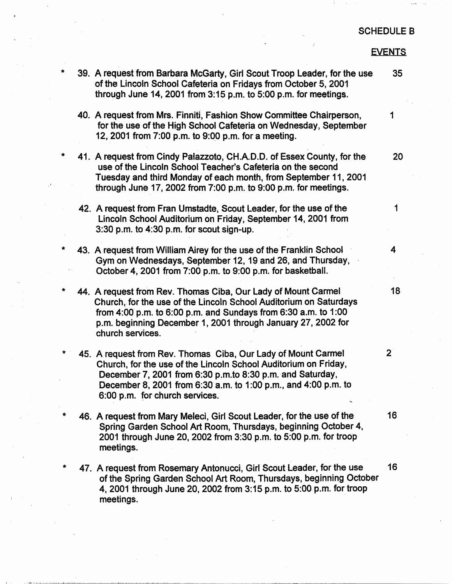## EVENTS

| $\star$ | 39. A request from Barbara McGarty, Girl Scout Troop Leader, for the use<br>of the Lincoln School Cafeteria on Fridays from October 5, 2001<br>through June 14, 2001 from $3:15$ p.m. to $5:00$ p.m. for meetings.                                                                                | 35             |
|---------|---------------------------------------------------------------------------------------------------------------------------------------------------------------------------------------------------------------------------------------------------------------------------------------------------|----------------|
|         | 40. A request from Mrs. Finniti, Fashion Show Committee Chairperson,<br>for the use of the High School Cafeteria on Wednesday, September<br>12, 2001 from 7:00 p.m. to 9:00 p.m. for a meeting.                                                                                                   | 1              |
| Ŵ       | 41. A request from Cindy Palazzoto, CH.A.D.D. of Essex County, for the<br>use of the Lincoln School Teacher's Cafeteria on the second<br>Tuesday and third Monday of each month, from September 11, 2001<br>through June 17, 2002 from $7:00$ p.m. to $9:00$ p.m. for meetings.                   | 20             |
|         | 42. A request from Fran Umstadte, Scout Leader, for the use of the<br>Lincoln School Auditorium on Friday, September 14, 2001 from<br>$3:30$ p.m. to $4:30$ p.m. for scout sign-up.                                                                                                               | 1              |
| *       | 43. A request from William Airey for the use of the Franklin School<br>Gym on Wednesdays, September 12, 19 and 26, and Thursday,<br>October 4, 2001 from 7:00 p.m. to 9:00 p.m. for basketball.                                                                                                   | 4              |
| Ť,      | 44. A request from Rev. Thomas Ciba, Our Lady of Mount Carmel<br>Church, for the use of the Lincoln School Auditorium on Saturdays<br>from 4:00 p.m. to 6:00 p.m. and Sundays from 6:30 a.m. to 1:00<br>p.m. beginning December 1, 2001 through January 27, 2002 for<br>church services.          | 18             |
|         | 45. A request from Rev. Thomas Ciba, Our Lady of Mount Carmel<br>Church, for the use of the Lincoln School Auditorium on Friday,<br>December 7, 2001 from 6:30 p.m.to 8:30 p.m. and Saturday,<br>December 8, 2001 from 6:30 a.m. to 1:00 p.m., and 4:00 p.m. to<br>6:00 p.m. for church services. | 2 <sup>1</sup> |
|         | 46. A request from Mary Meleci, Girl Scout Leader, for the use of the<br>Spring Garden School Art Room, Thursdays, beginning October 4,<br>2001 through June 20, 2002 from 3:30 p.m. to 5:00 p.m. for troop<br>meetings.                                                                          | 16             |
|         | 47. A request from Rosemary Antonucci, Girl Scout Leader, for the use<br>of the Spring Garden School Art Room, Thursdays, beginning October<br>4, 2001 through June 20, 2002 from 3:15 p.m. to 5:00 p.m. for troop<br>meetings.                                                                   | 16             |
|         |                                                                                                                                                                                                                                                                                                   |                |

\*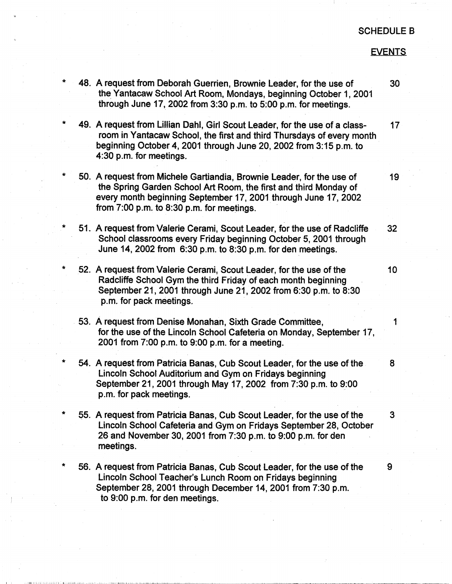## **EVENTS**

| *         | 48. A request from Deborah Guerrien, Brownie Leader, for the use of<br>the Yantacaw School Art Room, Mondays, beginning October 1, 2001<br>through June 17, 2002 from $3:30$ p.m. to $5:00$ p.m. for meetings.                                               | 30              |
|-----------|--------------------------------------------------------------------------------------------------------------------------------------------------------------------------------------------------------------------------------------------------------------|-----------------|
| ÷         | 49. A request from Lillian Dahl, Girl Scout Leader, for the use of a class-<br>room in Yantacaw School, the first and third Thursdays of every month<br>beginning October 4, 2001 through June 20, 2002 from 3:15 p.m. to<br>4:30 p.m. for meetings.         | 17 <sub>1</sub> |
| $\ast$    | 50. A request from Michele Gartiandia, Brownie Leader, for the use of<br>the Spring Garden School Art Room, the first and third Monday of<br>every month beginning September 17, 2001 through June 17, 2002<br>from $7:00$ p.m. to $8:30$ p.m. for meetings. | 19              |
| *         | 51. A request from Valerie Cerami, Scout Leader, for the use of Radcliffe<br>School classrooms every Friday beginning October 5, 2001 through<br>June 14, 2002 from 6:30 p.m. to 8:30 p.m. for den meetings.                                                 | 32              |
| *         | 52. A request from Valerie Cerami, Scout Leader, for the use of the<br>Radcliffe School Gym the third Friday of each month beginning<br>September 21, 2001 through June 21, 2002 from 6:30 p.m. to 8:30<br>p.m. for pack meetings.                           | 10              |
|           | 53. A request from Denise Monahan, Sixth Grade Committee,<br>for the use of the Lincoln School Cafeteria on Monday, September 17,<br>2001 from 7:00 p.m. to 9:00 p.m. for a meeting.                                                                         | 1               |
| ÷         | 54. A request from Patricia Banas, Cub Scout Leader, for the use of the<br>Lincoln School Auditorium and Gym on Fridays beginning<br>September 21, 2001 through May 17, 2002 from 7:30 p.m. to 9:00<br>p.m. for pack meetings.                               | 8               |
| $\pmb{*}$ | 55. A request from Patricia Banas, Cub Scout Leader, for the use of the<br>Lincoln School Cafeteria and Gym on Fridays September 28, October<br>26 and November 30, 2001 from 7:30 p.m. to 9:00 p.m. for den<br>meetings.                                    | 3               |
| *         | 56. A request from Patricia Banas, Cub Scout Leader, for the use of the                                                                                                                                                                                      | 9               |

Lincoln School Teacher's Lunch Room on Fridays beginning September 28, 2001 through December 14, 2001 from 7:30 p.m. to 9:00 p.m. for den meetings.

I , 111111 . 111111 lL 1:Ji illilli iJ,i: Lill ... Julla La D. Julia L. J. Julia L. J. L.L .. Le DOCE DOCE DI LLE LL LE LE DOCE